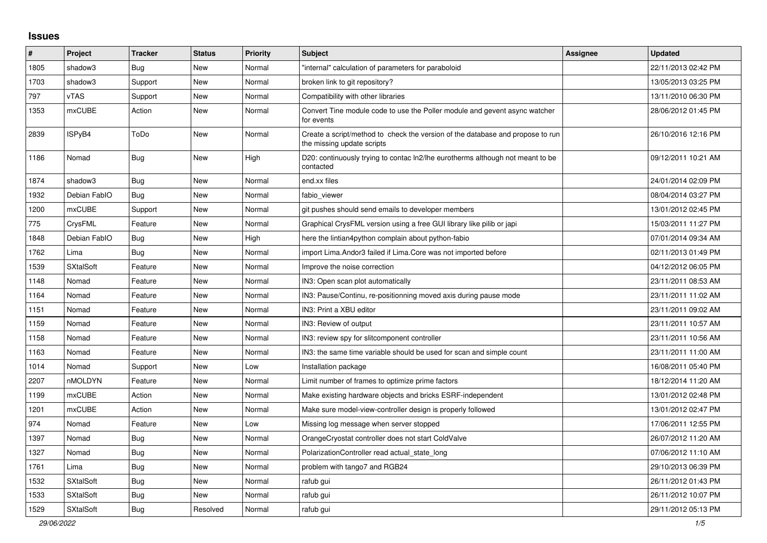## **Issues**

| #    | Project          | <b>Tracker</b> | <b>Status</b> | <b>Priority</b> | <b>Subject</b>                                                                                               | <b>Assignee</b> | <b>Updated</b>      |
|------|------------------|----------------|---------------|-----------------|--------------------------------------------------------------------------------------------------------------|-----------------|---------------------|
| 1805 | shadow3          | Bug            | New           | Normal          | 'internal" calculation of parameters for paraboloid                                                          |                 | 22/11/2013 02:42 PM |
| 1703 | shadow3          | Support        | <b>New</b>    | Normal          | broken link to git repository?                                                                               |                 | 13/05/2013 03:25 PM |
| 797  | <b>vTAS</b>      | Support        | New           | Normal          | Compatibility with other libraries                                                                           |                 | 13/11/2010 06:30 PM |
| 1353 | mxCUBE           | Action         | New           | Normal          | Convert Tine module code to use the Poller module and gevent async watcher<br>for events                     |                 | 28/06/2012 01:45 PM |
| 2839 | ISPyB4           | ToDo           | <b>New</b>    | Normal          | Create a script/method to check the version of the database and propose to run<br>the missing update scripts |                 | 26/10/2016 12:16 PM |
| 1186 | Nomad            | <b>Bug</b>     | <b>New</b>    | High            | D20: continuously trying to contac In2/lhe eurotherms although not meant to be<br>contacted                  |                 | 09/12/2011 10:21 AM |
| 1874 | shadow3          | <b>Bug</b>     | <b>New</b>    | Normal          | end.xx files                                                                                                 |                 | 24/01/2014 02:09 PM |
| 1932 | Debian FablO     | <b>Bug</b>     | New           | Normal          | fabio viewer                                                                                                 |                 | 08/04/2014 03:27 PM |
| 1200 | <b>mxCUBE</b>    | Support        | New           | Normal          | git pushes should send emails to developer members                                                           |                 | 13/01/2012 02:45 PM |
| 775  | CrysFML          | Feature        | New           | Normal          | Graphical CrysFML version using a free GUI library like pilib or japi                                        |                 | 15/03/2011 11:27 PM |
| 1848 | Debian FablO     | Bug            | <b>New</b>    | High            | here the lintian4python complain about python-fabio                                                          |                 | 07/01/2014 09:34 AM |
| 1762 | Lima             | <b>Bug</b>     | <b>New</b>    | Normal          | import Lima. Andor 3 failed if Lima. Core was not imported before                                            |                 | 02/11/2013 01:49 PM |
| 1539 | <b>SXtalSoft</b> | Feature        | <b>New</b>    | Normal          | Improve the noise correction                                                                                 |                 | 04/12/2012 06:05 PM |
| 1148 | Nomad            | Feature        | New           | Normal          | IN3: Open scan plot automatically                                                                            |                 | 23/11/2011 08:53 AM |
| 1164 | Nomad            | Feature        | New           | Normal          | IN3: Pause/Continu, re-positionning moved axis during pause mode                                             |                 | 23/11/2011 11:02 AM |
| 1151 | Nomad            | Feature        | New           | Normal          | IN3: Print a XBU editor                                                                                      |                 | 23/11/2011 09:02 AM |
| 1159 | Nomad            | Feature        | New           | Normal          | IN3: Review of output                                                                                        |                 | 23/11/2011 10:57 AM |
| 1158 | Nomad            | Feature        | <b>New</b>    | Normal          | IN3: review spy for slitcomponent controller                                                                 |                 | 23/11/2011 10:56 AM |
| 1163 | Nomad            | Feature        | <b>New</b>    | Normal          | IN3: the same time variable should be used for scan and simple count                                         |                 | 23/11/2011 11:00 AM |
| 1014 | Nomad            | Support        | New           | Low             | Installation package                                                                                         |                 | 16/08/2011 05:40 PM |
| 2207 | nMOLDYN          | Feature        | New           | Normal          | Limit number of frames to optimize prime factors                                                             |                 | 18/12/2014 11:20 AM |
| 1199 | <b>mxCUBE</b>    | Action         | New           | Normal          | Make existing hardware objects and bricks ESRF-independent                                                   |                 | 13/01/2012 02:48 PM |
| 1201 | <b>mxCUBE</b>    | Action         | <b>New</b>    | Normal          | Make sure model-view-controller design is properly followed                                                  |                 | 13/01/2012 02:47 PM |
| 974  | Nomad            | Feature        | <b>New</b>    | Low             | Missing log message when server stopped                                                                      |                 | 17/06/2011 12:55 PM |
| 1397 | Nomad            | Bug            | New           | Normal          | OrangeCryostat controller does not start ColdValve                                                           |                 | 26/07/2012 11:20 AM |
| 1327 | Nomad            | <b>Bug</b>     | <b>New</b>    | Normal          | Polarization Controller read actual state long                                                               |                 | 07/06/2012 11:10 AM |
| 1761 | Lima             | Bug            | New           | Normal          | problem with tango7 and RGB24                                                                                |                 | 29/10/2013 06:39 PM |
| 1532 | <b>SXtalSoft</b> | Bug            | New           | Normal          | rafub gui                                                                                                    |                 | 26/11/2012 01:43 PM |
| 1533 | <b>SXtalSoft</b> | Bug            | New           | Normal          | rafub gui                                                                                                    |                 | 26/11/2012 10:07 PM |
| 1529 | <b>SXtalSoft</b> | Bug            | Resolved      | Normal          | rafub gui                                                                                                    |                 | 29/11/2012 05:13 PM |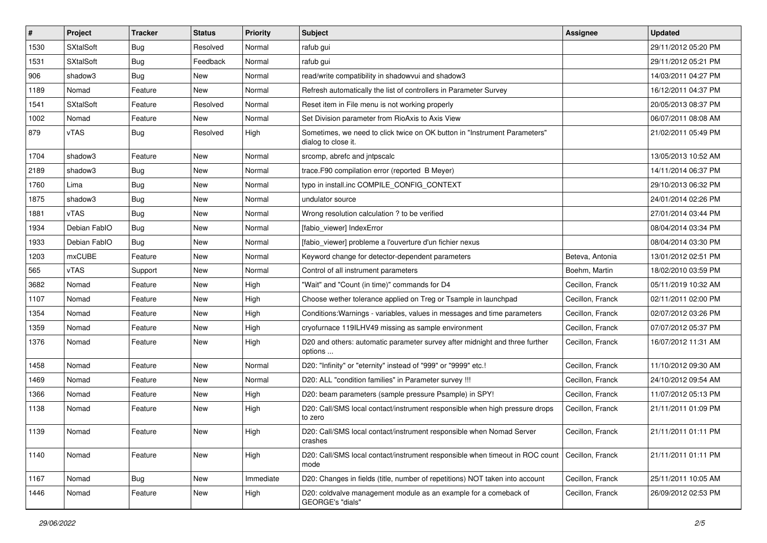| $\#$ | Project          | Tracker    | <b>Status</b> | <b>Priority</b> | <b>Subject</b>                                                                                          | Assignee         | <b>Updated</b>      |
|------|------------------|------------|---------------|-----------------|---------------------------------------------------------------------------------------------------------|------------------|---------------------|
| 1530 | <b>SXtalSoft</b> | <b>Bug</b> | Resolved      | Normal          | rafub gui                                                                                               |                  | 29/11/2012 05:20 PM |
| 1531 | <b>SXtalSoft</b> | <b>Bug</b> | Feedback      | Normal          | rafub gui                                                                                               |                  | 29/11/2012 05:21 PM |
| 906  | shadow3          | <b>Bug</b> | New           | Normal          | read/write compatibility in shadowvui and shadow3                                                       |                  | 14/03/2011 04:27 PM |
| 1189 | Nomad            | Feature    | New           | Normal          | Refresh automatically the list of controllers in Parameter Survey                                       |                  | 16/12/2011 04:37 PM |
| 1541 | <b>SXtalSoft</b> | Feature    | Resolved      | Normal          | Reset item in File menu is not working properly                                                         |                  | 20/05/2013 08:37 PM |
| 1002 | Nomad            | Feature    | New           | Normal          | Set Division parameter from RioAxis to Axis View                                                        |                  | 06/07/2011 08:08 AM |
| 879  | <b>vTAS</b>      | Bug        | Resolved      | High            | Sometimes, we need to click twice on OK button in "Instrument Parameters"<br>dialog to close it.        |                  | 21/02/2011 05:49 PM |
| 1704 | shadow3          | Feature    | New           | Normal          | srcomp, abrefc and jntpscalc                                                                            |                  | 13/05/2013 10:52 AM |
| 2189 | shadow3          | <b>Bug</b> | New           | Normal          | trace.F90 compilation error (reported B Meyer)                                                          |                  | 14/11/2014 06:37 PM |
| 1760 | Lima             | <b>Bug</b> | New           | Normal          | typo in install.inc COMPILE CONFIG CONTEXT                                                              |                  | 29/10/2013 06:32 PM |
| 1875 | shadow3          | Bug        | New           | Normal          | undulator source                                                                                        |                  | 24/01/2014 02:26 PM |
| 1881 | <b>vTAS</b>      | Bug        | New           | Normal          | Wrong resolution calculation ? to be verified                                                           |                  | 27/01/2014 03:44 PM |
| 1934 | Debian FablO     | <b>Bug</b> | New           | Normal          | [fabio_viewer] IndexError                                                                               |                  | 08/04/2014 03:34 PM |
| 1933 | Debian FablO     | <b>Bug</b> | New           | Normal          | [fabio_viewer] probleme a l'ouverture d'un fichier nexus                                                |                  | 08/04/2014 03:30 PM |
| 1203 | <b>mxCUBE</b>    | Feature    | New           | Normal          | Keyword change for detector-dependent parameters                                                        | Beteva, Antonia  | 13/01/2012 02:51 PM |
| 565  | vTAS             | Support    | New           | Normal          | Control of all instrument parameters                                                                    | Boehm, Martin    | 18/02/2010 03:59 PM |
| 3682 | Nomad            | Feature    | New           | High            | "Wait" and "Count (in time)" commands for D4                                                            | Cecillon, Franck | 05/11/2019 10:32 AM |
| 1107 | Nomad            | Feature    | New           | High            | Choose wether tolerance applied on Treg or Tsample in launchpad                                         | Cecillon, Franck | 02/11/2011 02:00 PM |
| 1354 | Nomad            | Feature    | New           | High            | Conditions: Warnings - variables, values in messages and time parameters                                | Cecillon, Franck | 02/07/2012 03:26 PM |
| 1359 | Nomad            | Feature    | New           | High            | cryofurnace 119ILHV49 missing as sample environment                                                     | Cecillon, Franck | 07/07/2012 05:37 PM |
| 1376 | Nomad            | Feature    | New           | High            | D20 and others: automatic parameter survey after midnight and three further<br>options                  | Cecillon, Franck | 16/07/2012 11:31 AM |
| 1458 | Nomad            | Feature    | New           | Normal          | D20: "Infinity" or "eternity" instead of "999" or "9999" etc.!                                          | Cecillon, Franck | 11/10/2012 09:30 AM |
| 1469 | Nomad            | Feature    | New           | Normal          | D20: ALL "condition families" in Parameter survey !!!                                                   | Cecillon, Franck | 24/10/2012 09:54 AM |
| 1366 | Nomad            | Feature    | New           | High            | D20: beam parameters (sample pressure Psample) in SPY!                                                  | Cecillon, Franck | 11/07/2012 05:13 PM |
| 1138 | Nomad            | Feature    | New           | High            | D20: Call/SMS local contact/instrument responsible when high pressure drops<br>to zero                  | Cecillon, Franck | 21/11/2011 01:09 PM |
| 1139 | Nomad            | Feature    | New           | High            | D20: Call/SMS local contact/instrument responsible when Nomad Server<br>crashes                         | Cecillon, Franck | 21/11/2011 01:11 PM |
| 1140 | Nomad            | Feature    | New           | High            | D20: Call/SMS local contact/instrument responsible when timeout in ROC count   Cecillon, Franck<br>mode |                  | 21/11/2011 01:11 PM |
| 1167 | Nomad            | <b>Bug</b> | New           | Immediate       | D20: Changes in fields (title, number of repetitions) NOT taken into account                            | Cecillon, Franck | 25/11/2011 10:05 AM |
| 1446 | Nomad            | Feature    | New           | High            | D20: coldvalve management module as an example for a comeback of<br>GEORGE's "dials"                    | Cecillon, Franck | 26/09/2012 02:53 PM |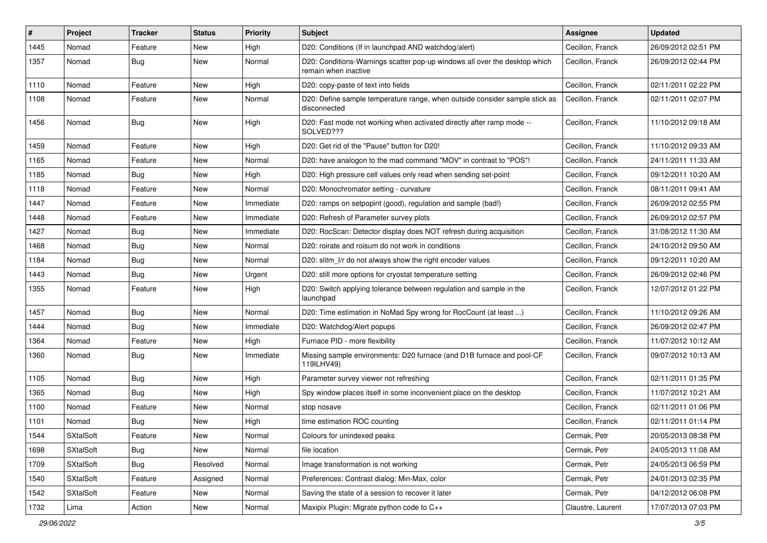| #    | Project          | <b>Tracker</b> | <b>Status</b> | <b>Priority</b> | <b>Subject</b>                                                                                     | Assignee          | <b>Updated</b>      |
|------|------------------|----------------|---------------|-----------------|----------------------------------------------------------------------------------------------------|-------------------|---------------------|
| 1445 | Nomad            | Feature        | New           | High            | D20: Conditions (If in launchpad AND watchdog/alert)                                               | Cecillon, Franck  | 26/09/2012 02:51 PM |
| 1357 | Nomad            | Bug            | New           | Normal          | D20: Conditions-Warnings scatter pop-up windows all over the desktop which<br>remain when inactive | Cecillon, Franck  | 26/09/2012 02:44 PM |
| 1110 | Nomad            | Feature        | New           | High            | D20: copy-paste of text into fields                                                                | Cecillon, Franck  | 02/11/2011 02:22 PM |
| 1108 | Nomad            | Feature        | New           | Normal          | D20: Define sample temperature range, when outside consider sample stick as<br>disconnected        | Cecillon, Franck  | 02/11/2011 02:07 PM |
| 1456 | Nomad            | Bug            | New           | High            | D20: Fast mode not working when activated directly after ramp mode --<br>SOLVED???                 | Cecillon, Franck  | 11/10/2012 09:18 AM |
| 1459 | Nomad            | Feature        | New           | High            | D20: Get rid of the "Pause" button for D20!                                                        | Cecillon, Franck  | 11/10/2012 09:33 AM |
| 1165 | Nomad            | Feature        | New           | Normal          | D20: have analogon to the mad command "MOV" in contrast to "POS"!                                  | Cecillon, Franck  | 24/11/2011 11:33 AM |
| 1185 | Nomad            | Bug            | New           | High            | D20: High pressure cell values only read when sending set-point                                    | Cecillon, Franck  | 09/12/2011 10:20 AM |
| 1118 | Nomad            | Feature        | New           | Normal          | D20: Monochromator setting - curvature                                                             | Cecillon, Franck  | 08/11/2011 09:41 AM |
| 1447 | Nomad            | Feature        | New           | Immediate       | D20: ramps on setpopint (good), regulation and sample (bad!)                                       | Cecillon, Franck  | 26/09/2012 02:55 PM |
| 1448 | Nomad            | Feature        | New           | Immediate       | D20: Refresh of Parameter survey plots                                                             | Cecillon, Franck  | 26/09/2012 02:57 PM |
| 1427 | Nomad            | Bug            | New           | Immediate       | D20: RocScan: Detector display does NOT refresh during acquisition                                 | Cecillon, Franck  | 31/08/2012 11:30 AM |
| 1468 | Nomad            | Bug            | New           | Normal          | D20: roirate and roisum do not work in conditions                                                  | Cecillon, Franck  | 24/10/2012 09:50 AM |
| 1184 | Nomad            | Bug            | New           | Normal          | D20: slitm_l/r do not always show the right encoder values                                         | Cecillon, Franck  | 09/12/2011 10:20 AM |
| 1443 | Nomad            | Bug            | New           | Urgent          | D20: still more options for cryostat temperature setting                                           | Cecillon, Franck  | 26/09/2012 02:46 PM |
| 1355 | Nomad            | Feature        | New           | High            | D20: Switch applying tolerance between regulation and sample in the<br>launchpad                   | Cecillon, Franck  | 12/07/2012 01:22 PM |
| 1457 | Nomad            | <b>Bug</b>     | New           | Normal          | D20: Time estimation in NoMad Spy wrong for RocCount (at least )                                   | Cecillon, Franck  | 11/10/2012 09:26 AM |
| 1444 | Nomad            | Bug            | New           | Immediate       | D20: Watchdog/Alert popups                                                                         | Cecillon, Franck  | 26/09/2012 02:47 PM |
| 1364 | Nomad            | Feature        | New           | High            | Furnace PID - more flexibility                                                                     | Cecillon, Franck  | 11/07/2012 10:12 AM |
| 1360 | Nomad            | Bug            | New           | Immediate       | Missing sample environments: D20 furnace (and D1B furnace and pool-CF<br>119ILHV49)                | Cecillon, Franck  | 09/07/2012 10:13 AM |
| 1105 | Nomad            | Bug            | New           | High            | Parameter survey viewer not refreshing                                                             | Cecillon, Franck  | 02/11/2011 01:35 PM |
| 1365 | Nomad            | <b>Bug</b>     | New           | High            | Spy window places itself in some inconvenient place on the desktop                                 | Cecillon, Franck  | 11/07/2012 10:21 AM |
| 1100 | Nomad            | Feature        | New           | Normal          | stop nosave                                                                                        | Cecillon, Franck  | 02/11/2011 01:06 PM |
| 1101 | Nomad            | Bug            | New           | High            | time estimation ROC counting                                                                       | Cecillon, Franck  | 02/11/2011 01:14 PM |
| 1544 | <b>SXtalSoft</b> | Feature        | New           | Normal          | Colours for unindexed peaks                                                                        | Cermak, Petr      | 20/05/2013 08:38 PM |
| 1698 | SXtalSoft        | <b>Bug</b>     | New           | Normal          | file location                                                                                      | Cermak, Petr      | 24/05/2013 11:08 AM |
| 1709 | <b>SXtalSoft</b> | Bug            | Resolved      | Normal          | Image transformation is not working                                                                | Cermak, Petr      | 24/05/2013 06:59 PM |
| 1540 | SXtalSoft        | Feature        | Assigned      | Normal          | Preferences: Contrast dialog: Min-Max, color                                                       | Cermak, Petr      | 24/01/2013 02:35 PM |
| 1542 | SXtalSoft        | Feature        | New           | Normal          | Saving the state of a session to recover it later                                                  | Cermak, Petr      | 04/12/2012 06:08 PM |
| 1732 | Lima             | Action         | New           | Normal          | Maxipix Plugin: Migrate python code to C++                                                         | Claustre, Laurent | 17/07/2013 07:03 PM |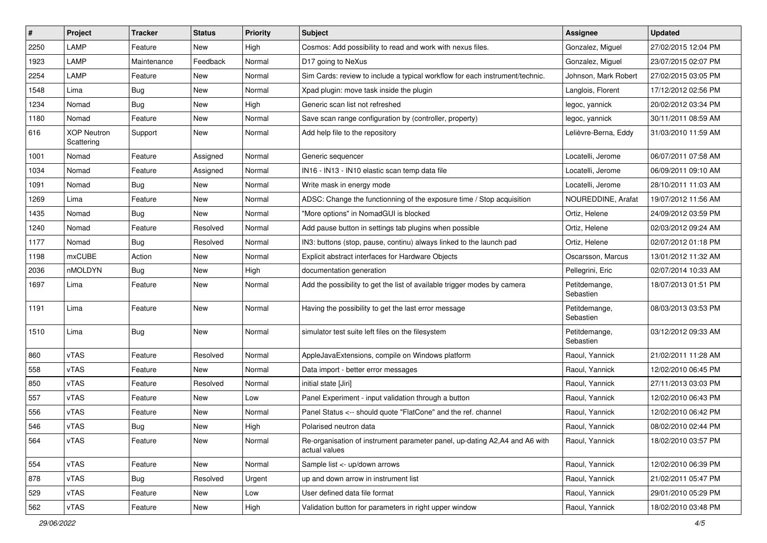| #    | Project                          | <b>Tracker</b> | <b>Status</b> | <b>Priority</b> | Subject                                                                                     | <b>Assignee</b>            | <b>Updated</b>      |
|------|----------------------------------|----------------|---------------|-----------------|---------------------------------------------------------------------------------------------|----------------------------|---------------------|
| 2250 | LAMP                             | Feature        | New           | High            | Cosmos: Add possibility to read and work with nexus files.                                  | Gonzalez, Miguel           | 27/02/2015 12:04 PM |
| 1923 | LAMP                             | Maintenance    | Feedback      | Normal          | D17 going to NeXus                                                                          | Gonzalez, Miguel           | 23/07/2015 02:07 PM |
| 2254 | LAMP                             | Feature        | New           | Normal          | Sim Cards: review to include a typical workflow for each instrument/technic.                | Johnson, Mark Robert       | 27/02/2015 03:05 PM |
| 1548 | Lima                             | <b>Bug</b>     | New           | Normal          | Xpad plugin: move task inside the plugin                                                    | Langlois, Florent          | 17/12/2012 02:56 PM |
| 1234 | Nomad                            | <b>Bug</b>     | New           | High            | Generic scan list not refreshed                                                             | legoc, yannick             | 20/02/2012 03:34 PM |
| 1180 | Nomad                            | Feature        | New           | Normal          | Save scan range configuration by (controller, property)                                     | legoc, yannick             | 30/11/2011 08:59 AM |
| 616  | <b>XOP Neutron</b><br>Scattering | Support        | New           | Normal          | Add help file to the repository                                                             | Lelièvre-Berna, Eddy       | 31/03/2010 11:59 AM |
| 1001 | Nomad                            | Feature        | Assigned      | Normal          | Generic sequencer                                                                           | Locatelli, Jerome          | 06/07/2011 07:58 AM |
| 1034 | Nomad                            | Feature        | Assigned      | Normal          | IN16 - IN13 - IN10 elastic scan temp data file                                              | Locatelli, Jerome          | 06/09/2011 09:10 AM |
| 1091 | Nomad                            | Bug            | New           | Normal          | Write mask in energy mode                                                                   | Locatelli, Jerome          | 28/10/2011 11:03 AM |
| 1269 | Lima                             | Feature        | <b>New</b>    | Normal          | ADSC: Change the functionning of the exposure time / Stop acquisition                       | NOUREDDINE, Arafat         | 19/07/2012 11:56 AM |
| 1435 | Nomad                            | <b>Bug</b>     | New           | Normal          | "More options" in NomadGUI is blocked                                                       | Ortiz, Helene              | 24/09/2012 03:59 PM |
| 1240 | Nomad                            | Feature        | Resolved      | Normal          | Add pause button in settings tab plugins when possible                                      | Ortiz, Helene              | 02/03/2012 09:24 AM |
| 1177 | Nomad                            | <b>Bug</b>     | Resolved      | Normal          | IN3: buttons (stop, pause, continu) always linked to the launch pad                         | Ortiz. Helene              | 02/07/2012 01:18 PM |
| 1198 | <b>mxCUBE</b>                    | Action         | New           | Normal          | Explicit abstract interfaces for Hardware Objects                                           | Oscarsson, Marcus          | 13/01/2012 11:32 AM |
| 2036 | nMOLDYN                          | <b>Bug</b>     | New           | High            | documentation generation                                                                    | Pellegrini, Eric           | 02/07/2014 10:33 AM |
| 1697 | Lima                             | Feature        | New           | Normal          | Add the possibility to get the list of available trigger modes by camera                    | Petitdemange,<br>Sebastien | 18/07/2013 01:51 PM |
| 1191 | Lima                             | Feature        | New           | Normal          | Having the possibility to get the last error message                                        | Petitdemange,<br>Sebastien | 08/03/2013 03:53 PM |
| 1510 | Lima                             | <b>Bug</b>     | New           | Normal          | simulator test suite left files on the filesystem                                           | Petitdemange,<br>Sebastien | 03/12/2012 09:33 AM |
| 860  | <b>vTAS</b>                      | Feature        | Resolved      | Normal          | AppleJavaExtensions, compile on Windows platform                                            | Raoul, Yannick             | 21/02/2011 11:28 AM |
| 558  | vTAS                             | Feature        | New           | Normal          | Data import - better error messages                                                         | Raoul, Yannick             | 12/02/2010 06:45 PM |
| 850  | <b>vTAS</b>                      | Feature        | Resolved      | Normal          | initial state [Jiri]                                                                        | Raoul, Yannick             | 27/11/2013 03:03 PM |
| 557  | vTAS                             | Feature        | New           | Low             | Panel Experiment - input validation through a button                                        | Raoul, Yannick             | 12/02/2010 06:43 PM |
| 556  | vTAS                             | Feature        | New           | Normal          | Panel Status <-- should quote "FlatCone" and the ref. channel                               | Raoul, Yannick             | 12/02/2010 06:42 PM |
| 546  | vTAS                             | <b>Bug</b>     | <b>New</b>    | High            | Polarised neutron data                                                                      | Raoul, Yannick             | 08/02/2010 02:44 PM |
| 564  | vTAS                             | Feature        | New           | Normal          | Re-organisation of instrument parameter panel, up-dating A2,A4 and A6 with<br>actual values | Raoul, Yannick             | 18/02/2010 03:57 PM |
| 554  | vTAS                             | Feature        | New           | Normal          | Sample list <- up/down arrows                                                               | Raoul, Yannick             | 12/02/2010 06:39 PM |
| 878  | vTAS                             | <b>Bug</b>     | Resolved      | Urgent          | up and down arrow in instrument list                                                        | Raoul, Yannick             | 21/02/2011 05:47 PM |
| 529  | vTAS                             | Feature        | New           | Low             | User defined data file format                                                               | Raoul, Yannick             | 29/01/2010 05:29 PM |
| 562  | vTAS                             | Feature        | New           | High            | Validation button for parameters in right upper window                                      | Raoul, Yannick             | 18/02/2010 03:48 PM |